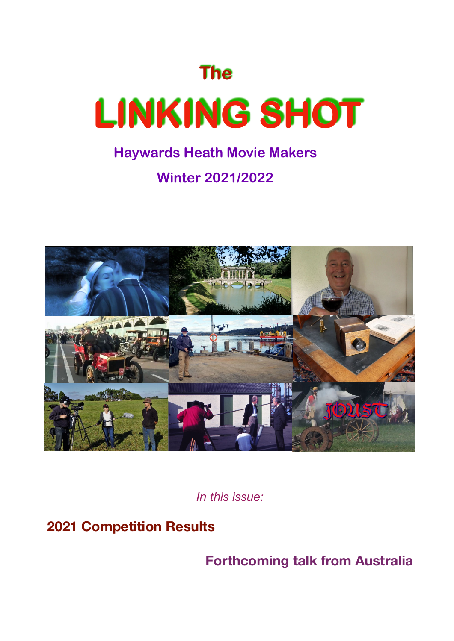

## **Winter 2021/2022**



*In this issue:* 

**2021 Competition Results** 

**Forthcoming talk from Australia**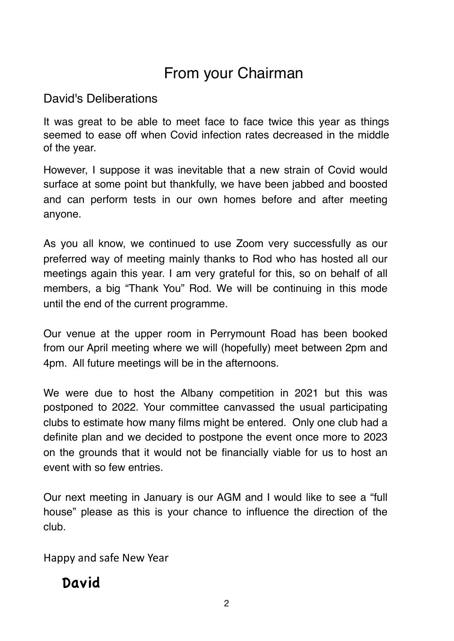## From your Chairman

### David's Deliberations

It was great to be able to meet face to face twice this year as things seemed to ease off when Covid infection rates decreased in the middle of the year.

However, I suppose it was inevitable that a new strain of Covid would surface at some point but thankfully, we have been jabbed and boosted and can perform tests in our own homes before and after meeting anyone.

As you all know, we continued to use Zoom very successfully as our preferred way of meeting mainly thanks to Rod who has hosted all our meetings again this year. I am very grateful for this, so on behalf of all members, a big "Thank You" Rod. We will be continuing in this mode until the end of the current programme.

Our venue at the upper room in Perrymount Road has been booked from our April meeting where we will (hopefully) meet between 2pm and 4pm. All future meetings will be in the afternoons.

We were due to host the Albany competition in 2021 but this was postponed to 2022. Your committee canvassed the usual participating clubs to estimate how many films might be entered. Only one club had a definite plan and we decided to postpone the event once more to 2023 on the grounds that it would not be financially viable for us to host an event with so few entries.

Our next meeting in January is our AGM and I would like to see a "full house" please as this is your chance to influence the direction of the club.

Happy and safe New Year

## David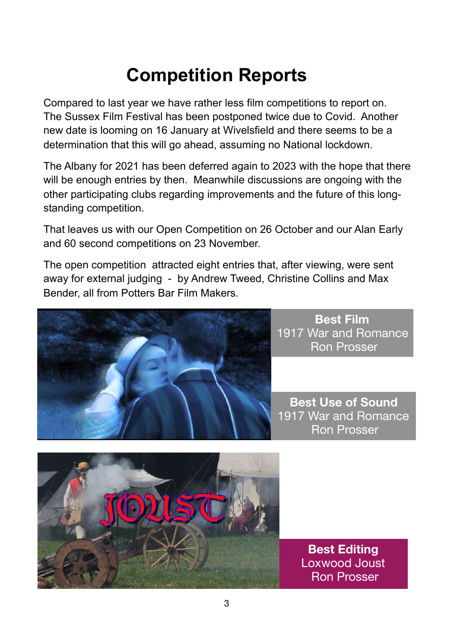# **Competition Reports**

Compared to last year we have rather less film competitions to report on. The Sussex Film Festival has been postponed twice due to Covid. Another new date is looming on 16 January at Wivelsfield and there seems to be a determination that this will go ahead, assuming no National lockdown.

The Albany for 2021 has been deferred again to 2023 with the hope that there will be enough entries by then. Meanwhile discussions are ongoing with the other participating clubs regarding improvements and the future of this longstanding competition.

That leaves us with our Open Competition on 26 October and our Alan Early and 60 second competitions on 23 November.

The open competition attracted eight entries that, after viewing, were sent away for external judging - by Andrew Tweed, Christine Collins and Max Bender, all from Potters Bar Film Makers.



**Best Film**  1917 War and Romance Ron Prosser

**Best Use of Sound**  1917 War and Romance Ron Prosser



**Best Editing**  Loxwood Joust Ron Prosser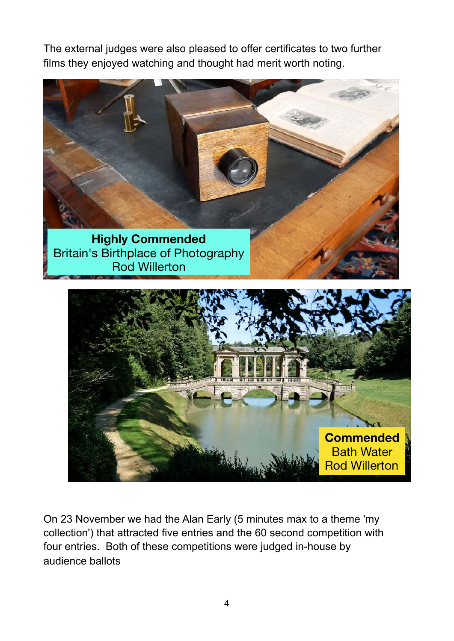The external judges were also pleased to offer certificates to two further films they enjoyed watching and thought had merit worth noting.





On 23 November we had the Alan Early (5 minutes max to a theme 'my collection') that attracted five entries and the 60 second competition with four entries. Both of these competitions were judged in-house by audience ballots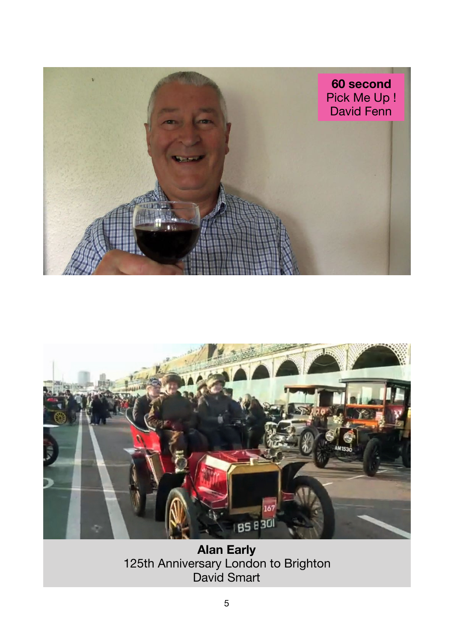



**Alan Early**  125th Anniversary London to Brighton David Smart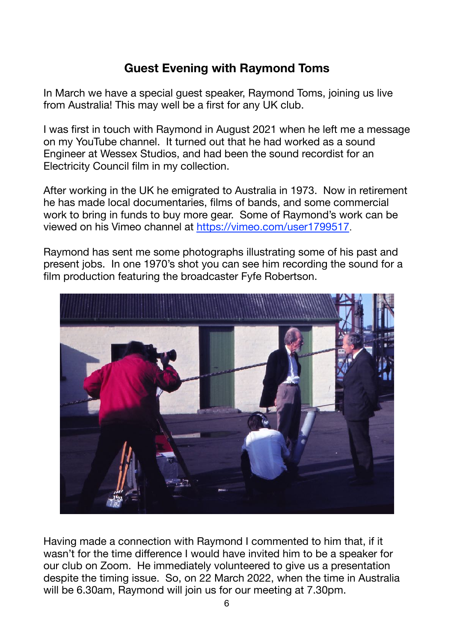### **Guest Evening with Raymond Toms**

In March we have a special guest speaker, Raymond Toms, joining us live from Australia! This may well be a first for any UK club.

I was first in touch with Raymond in August 2021 when he left me a message on my YouTube channel. It turned out that he had worked as a sound Engineer at Wessex Studios, and had been the sound recordist for an Electricity Council film in my collection.

After working in the UK he emigrated to Australia in 1973. Now in retirement he has made local documentaries, films of bands, and some commercial work to bring in funds to buy more gear. Some of Raymond's work can be viewed on his Vimeo channel at <https://vimeo.com/user1799517>.

Raymond has sent me some photographs illustrating some of his past and present jobs. In one 1970's shot you can see him recording the sound for a film production featuring the broadcaster Fyfe Robertson.



Having made a connection with Raymond I commented to him that, if it wasn't for the time difference I would have invited him to be a speaker for our club on Zoom. He immediately volunteered to give us a presentation despite the timing issue. So, on 22 March 2022, when the time in Australia will be 6.30am, Raymond will join us for our meeting at 7.30pm.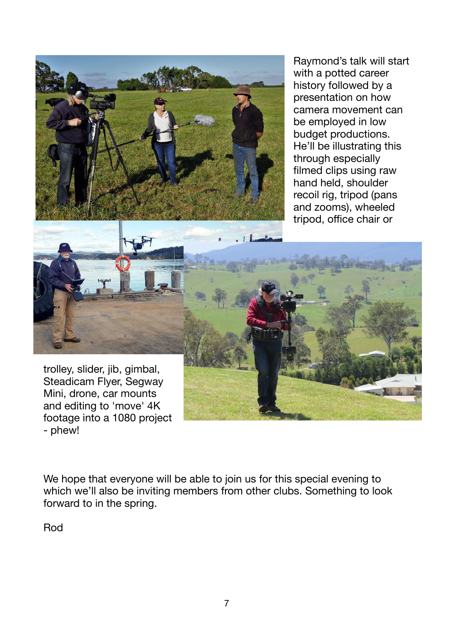

Raymond's talk will start with a potted career history followed by a presentation on how camera movement can be employed in low budget productions. He'll be illustrating this through especially filmed clips using raw hand held, shoulder recoil rig, tripod (pans and zooms), wheeled tripod, office chair or



trolley, slider, jib, gimbal, Steadicam Flyer, Segway Mini, drone, car mounts and editing to 'move' 4K footage into a 1080 project - phew!

We hope that everyone will be able to join us for this special evening to which we'll also be inviting members from other clubs. Something to look forward to in the spring.

Rod